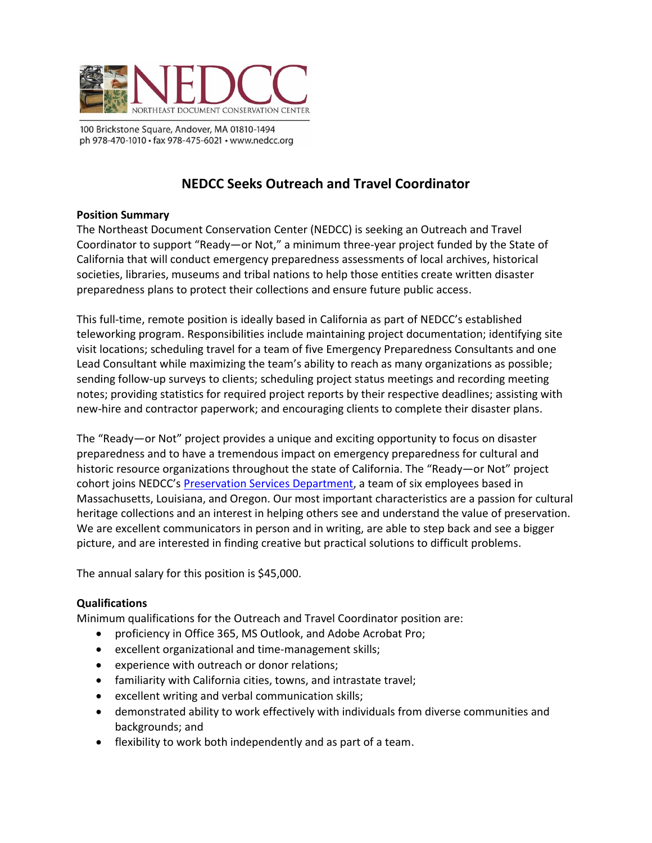

100 Brickstone Square, Andover, MA 01810-1494 ph 978-470-1010 · fax 978-475-6021 · www.nedcc.org

# **NEDCC Seeks Outreach and Travel Coordinator**

### **Position Summary**

The Northeast Document Conservation Center (NEDCC) is seeking an Outreach and Travel Coordinator to support "Ready—or Not," a minimum three-year project funded by the State of California that will conduct emergency preparedness assessments of local archives, historical societies, libraries, museums and tribal nations to help those entities create written disaster preparedness plans to protect their collections and ensure future public access.

This full-time, remote position is ideally based in California as part of NEDCC's established teleworking program. Responsibilities include maintaining project documentation; identifying site visit locations; scheduling travel for a team of five Emergency Preparedness Consultants and one Lead Consultant while maximizing the team's ability to reach as many organizations as possible; sending follow-up surveys to clients; scheduling project status meetings and recording meeting notes; providing statistics for required project reports by their respective deadlines; assisting with new-hire and contractor paperwork; and encouraging clients to complete their disaster plans.

The "Ready—or Not" project provides a unique and exciting opportunity to focus on disaster preparedness and to have a tremendous impact on emergency preparedness for cultural and historic resource organizations throughout the state of California. The "Ready—or Not" project cohort joins NEDCC's [Preservation Services Department,](https://www.nedcc.org/assets/media/documents/2021%20PS%20New%20Brochure.pdf) a team of six employees based in Massachusetts, Louisiana, and Oregon. Our most important characteristics are a passion for cultural heritage collections and an interest in helping others see and understand the value of preservation. We are excellent communicators in person and in writing, are able to step back and see a bigger picture, and are interested in finding creative but practical solutions to difficult problems.

The annual salary for this position is \$45,000.

## **Qualifications**

Minimum qualifications for the Outreach and Travel Coordinator position are:

- proficiency in Office 365, MS Outlook, and Adobe Acrobat Pro;
- excellent organizational and time-management skills;
- experience with outreach or donor relations;
- familiarity with California cities, towns, and intrastate travel;
- excellent writing and verbal communication skills;
- demonstrated ability to work effectively with individuals from diverse communities and backgrounds; and
- flexibility to work both independently and as part of a team.